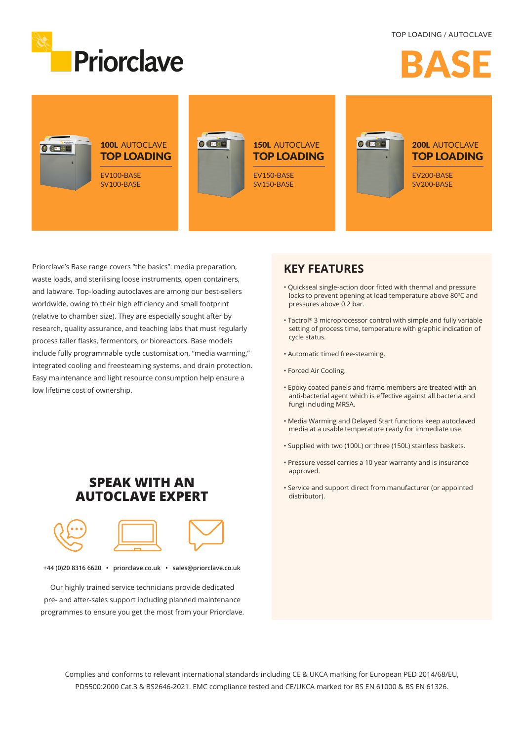

TOP LOADING / AUTOCLAVE

# BASE



Priorclave's Base range covers "the basics": media preparation, waste loads, and sterilising loose instruments, open containers, and labware. Top-loading autoclaves are among our best-sellers worldwide, owing to their high efficiency and small footprint (relative to chamber size). They are especially sought after by research, quality assurance, and teaching labs that must regularly process taller flasks, fermentors, or bioreactors. Base models include fully programmable cycle customisation, "media warming," integrated cooling and freesteaming systems, and drain protection. Easy maintenance and light resource consumption help ensure a low lifetime cost of ownership.

### **KEY FEATURES**

- Quickseal single-action door fitted with thermal and pressure locks to prevent opening at load temperature above 80°C and pressures above 0.2 bar.
- Tactrol® 3 microprocessor control with simple and fully variable setting of process time, temperature with graphic indication of cycle status.
- Automatic timed free-steaming.
- Forced Air Cooling.
- Epoxy coated panels and frame members are treated with an anti-bacterial agent which is effective against all bacteria and fungi including MRSA.
- Media Warming and Delayed Start functions keep autoclaved media at a usable temperature ready for immediate use.
- Supplied with two (100L) or three (150L) stainless baskets.
- Pressure vessel carries a 10 year warranty and is insurance approved.
- Service and support direct from manufacturer (or appointed distributor).

## **SPEAK WITH AN AUTOCLAVE EXPERT**



**+44 (0)20 8316 6620 • priorclave.co.uk • sales@priorclave.co.uk**

Our highly trained service technicians provide dedicated pre- and after-sales support including planned maintenance programmes to ensure you get the most from your Priorclave.

> Complies and conforms to relevant international standards including CE & UKCA marking for European PED 2014/68/EU, PD5500:2000 Cat.3 & BS2646-2021. EMC compliance tested and CE/UKCA marked for BS EN 61000 & BS EN 61326.